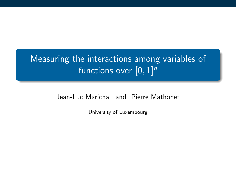## Measuring the interactions among variables of functions over  $[0, 1]^n$

#### Jean-Luc Marichal and Pierre Mathonet

University of Luxembourg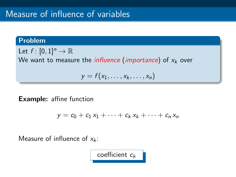#### Problem

Let  $f : [0,1]^n \to \mathbb{R}$ We want to measure the *influence* (*importance*) of  $x_k$  over

$$
y = f(x_1, \ldots, x_k, \ldots, x_n)
$$

## Example: affine function

$$
y = c_0 + c_1 x_1 + \cdots + c_k x_k + \cdots + c_n x_n
$$

Measure of influence of  $x_k$ :

coefficient  $c_k$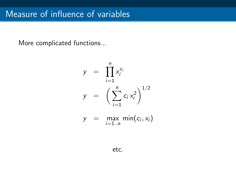More complicated functions...

$$
y = \prod_{i=1}^{n} x_i^{c_i}
$$
  

$$
y = \left(\sum_{i=1}^{n} c_i x_i^2\right)^{1/2}
$$

$$
y = \max_{i=1..n} \min(c_i, x_i)
$$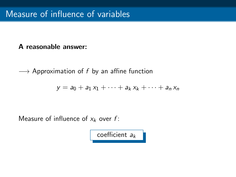## A reasonable answer:

 $\longrightarrow$  Approximation of f by an affine function

$$
y = a_0 + a_1 x_1 + \cdots + a_k x_k + \cdots + a_n x_n
$$

Measure of influence of  $x_k$  over f:

coefficient  $a_k$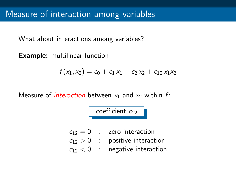What about interactions among variables?

Example: multilinear function

$$
f(x_1,x_2)=c_0+c_1x_1+c_2x_2+c_{12}x_1x_2
$$

Measure of *interaction* between  $x_1$  and  $x_2$  within f:

#### coefficient  $c_{12}$

- $c_{12} = 0$  : zero interaction
- $c_{12} > 0$  : positive interaction
- $c_{12}$  < 0 : negative interaction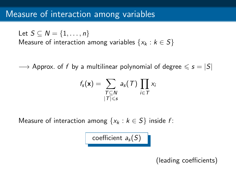## Measure of interaction among variables

Let  $S \subset N = \{1, \ldots, n\}$ Measure of interaction among variables  $\{x_k : k \in S\}$ 

 $\rightarrow$  Approx. of f by a multilinear polynomial of degree  $\leqslant s = |S|$ 

$$
f_{\mathsf{s}}(\mathbf{x}) = \sum_{\substack{\mathcal{T} \subseteq \mathcal{N} \\ |\mathcal{T}| \leqslant \mathsf{s}}} a_{\mathsf{s}}(\mathcal{T}) \prod_{i \in \mathcal{T}} x_i
$$

Measure of interaction among  $\{x_k : k \in S\}$  inside f:

coefficient  $a_s(S)$ 

(leading coefficients)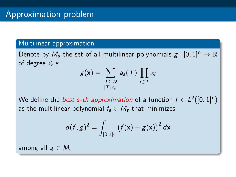#### Multilinear approximation

Denote by  $M_s$  the set of all multilinear polynomials  $g:[0,1]^n\to\mathbb{R}$ of degree  $\leqslant s$ 

$$
g(\mathbf{x}) = \sum_{\substack{T \subseteq N \\ |T| \leq s}} a_s(T) \prod_{i \in T} x_i
$$

We define the *best s-th approximation* of a function  $f \in L^2([0,1]^n)$ as the multilinear polynomial  $f_s \in M_s$  that minimizes

$$
d(f,g)^2 = \int_{[0,1]^n} \left(f(\mathbf{x}) - g(\mathbf{x})\right)^2 d\mathbf{x}
$$

among all  $g \in M_s$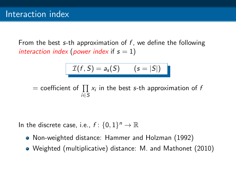From the best s-th approximation of  $f$ , we define the following interaction index (power index if  $s = 1$ )

$$
\mathcal{I}(f, S) = a_s(S) \qquad (s = |S|)
$$

 $\equiv$  coefficient of  $\prod x_i$  in the best *s*-th approximation of *f* i∈S

In the discrete case, i.e.,  $f: \{0,1\}^n \to \mathbb{R}$ 

- Non-weighted distance: Hammer and Holzman (1992)
- Weighted (multiplicative) distance: M. and Mathonet (2010)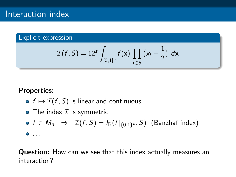#### Explicit expression

$$
\mathcal{I}(f, S) = 12s \int_{[0,1]^n} f(\mathbf{x}) \prod_{i \in S} (x_i - \frac{1}{2}) d\mathbf{x}
$$

#### Properties:

- $f \mapsto \mathcal{I}(f, S)$  is linear and continuous
- The index  $\mathcal I$  is symmetric

• 
$$
f \in M_n
$$
  $\Rightarrow$   $\mathcal{I}(f, S) = I_B(f|_{\{0,1\}^n}, S)$  (Banzhaf index)  
• ...

Question: How can we see that this index actually measures an interaction?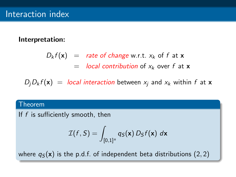#### Interpretation:

$$
D_k f(\mathbf{x}) = \text{rate of change w.r.t. } x_k \text{ of } f \text{ at } \mathbf{x}
$$
  
= local contribution of  $x_k$  over  $f$  at  $\mathbf{x}$ 

 $D_iD_k f(\mathbf{x}) =$  local interaction between  $x_i$  and  $x_k$  within f at **x** 

#### Theorem

If  $f$  is sufficiently smooth, then

$$
\mathcal{I}(f, S) = \int_{[0,1]^n} q_S(\mathbf{x}) D_S f(\mathbf{x}) d\mathbf{x}
$$

where  $q_S(\mathbf{x})$  is the p.d.f. of independent beta distributions (2, 2)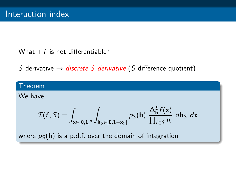## What if f is not differentiable?

S-derivative  $\rightarrow$  discrete S-derivative (S-difference quotient)

#### Theorem

We have

$$
\mathcal{I}(f, S) = \int_{\mathbf{x} \in [0,1]^n} \int_{\mathbf{h}_S \in [0,1-x_S]} p_S(\mathbf{h}) \; \frac{\Delta_{\mathbf{h}}^S f(\mathbf{x})}{\prod_{i \in S} h_i} \; d\mathbf{h}_S \; d\mathbf{x}
$$

where  $p<sub>S</sub>(h)$  is a p.d.f. over the domain of integration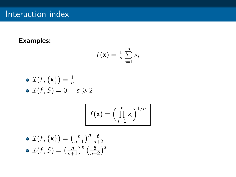## Examples:

$$
f(\mathbf{x}) = \frac{1}{n} \sum_{i=1}^{n} x_i
$$

$$
\begin{array}{l}\n\bullet \ \mathcal{I}(f, \{k\}) = \frac{1}{n} \\
\bullet \ \mathcal{I}(f, S) = 0 \quad s \geqslant 2\n\end{array}
$$

$$
f(\mathbf{x}) = \left(\prod_{i=1}^n x_i\right)^{1/n}
$$

$$
\begin{array}{l}\n\bullet \mathcal{I}(f,\{k\}) = \left(\frac{n}{n+1}\right)^n \frac{6}{n+2} \\
\bullet \mathcal{I}(f,S) = \left(\frac{n}{n+1}\right)^n \left(\frac{6}{n+2}\right)^s\n\end{array}
$$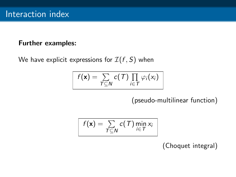#### Further examples:

We have explicit expressions for  $\mathcal{I}(f, S)$  when

$$
f(\mathbf{x}) = \sum_{T \subseteq N} c(T) \prod_{i \in T} \varphi_i(x_i)
$$

(pseudo-multilinear function)

$$
f(\mathbf{x}) = \sum_{T \subseteq N} c(T) \min_{i \in T} x_i
$$

(Choquet integral)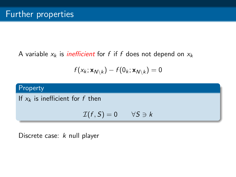A variable  $x_k$  is *inefficient* for f if f does not depend on  $x_k$ 

$$
f(x_k; \mathbf{x}_{N \setminus k}) - f(0_k; \mathbf{x}_{N \setminus k}) = 0
$$

## Property

If  $x_k$  is inefficient for f then

$$
\mathcal{I}(f, S) = 0 \qquad \forall S \ni k
$$

Discrete case: k null player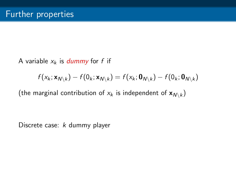A variable  $x_k$  is dummy for f if

$$
f(x_k; \mathbf{x}_{N \setminus k}) - f(0_k; \mathbf{x}_{N \setminus k}) = f(x_k; \mathbf{0}_{N \setminus k}) - f(0_k; \mathbf{0}_{N \setminus k})
$$

(the marginal contribution of  $x_k$  is independent of  ${\mathbf x}_{\mathsf{N} \setminus k})$ 

Discrete case: k dummy player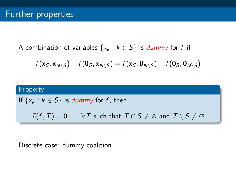A combination of variables  $\{x_k : k \in S\}$  is *dummy* for f if

$$
f(\mathbf{x}_{\mathcal{S}};\mathbf{x}_{N\setminus\mathcal{S}})-f(\mathbf{0}_{\mathcal{S}};\mathbf{x}_{N\setminus\mathcal{S}})=f(\mathbf{x}_{\mathcal{S}};\mathbf{0}_{N\setminus\mathcal{S}})-f(\mathbf{0}_{\mathcal{S}};\mathbf{0}_{N\setminus\mathcal{S}})
$$

# Property If  $\{x_k : k \in S\}$  is *dummy* for f, then  $\mathcal{I}(f, T) = 0 \quad \forall T$  such that  $T \cap S \neq \emptyset$  and  $T \setminus S \neq \emptyset$

## Discrete case: dummy coalition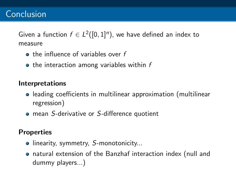Given a function  $f \in L^2([0,1]^n)$ , we have defined an index to measure

- $\bullet$  the influence of variables over f
- $\bullet$  the interaction among variables within  $f$

## Interpretations

- leading coefficients in multilinear approximation (multilinear regression)
- mean S-derivative or S-difference quotient

## **Properties**

- linearity, symmetry, S-monotonicity...
- natural extension of the Banzhaf interaction index (null and dummy players...)